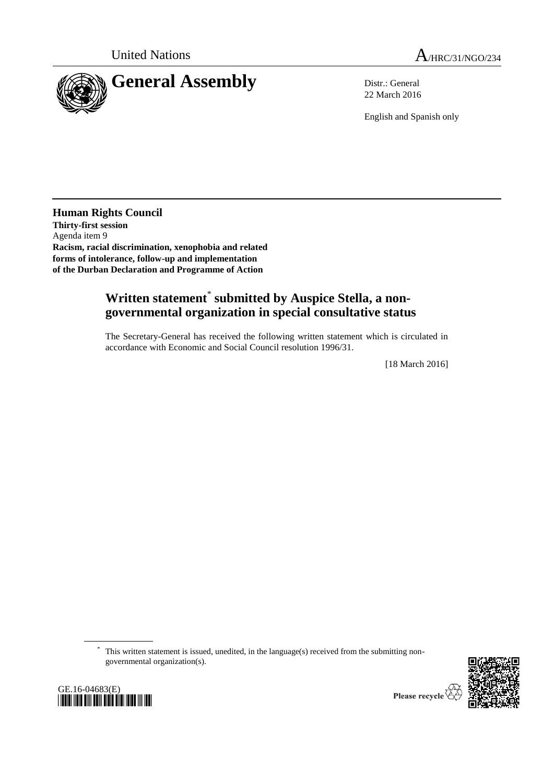

22 March 2016

English and Spanish only

**Human Rights Council Thirty-first session** Agenda item 9 **Racism, racial discrimination, xenophobia and related forms of intolerance, follow-up and implementation of the Durban Declaration and Programme of Action**

## **Written statement**\* **submitted by Auspice Stella, a nongovernmental organization in special consultative status**

The Secretary-General has received the following written statement which is circulated in accordance with Economic and Social Council resolution 1996/31.

[18 March 2016]

\* This written statement is issued, unedited, in the language(s) received from the submitting nongovernmental organization(s).





Please recycle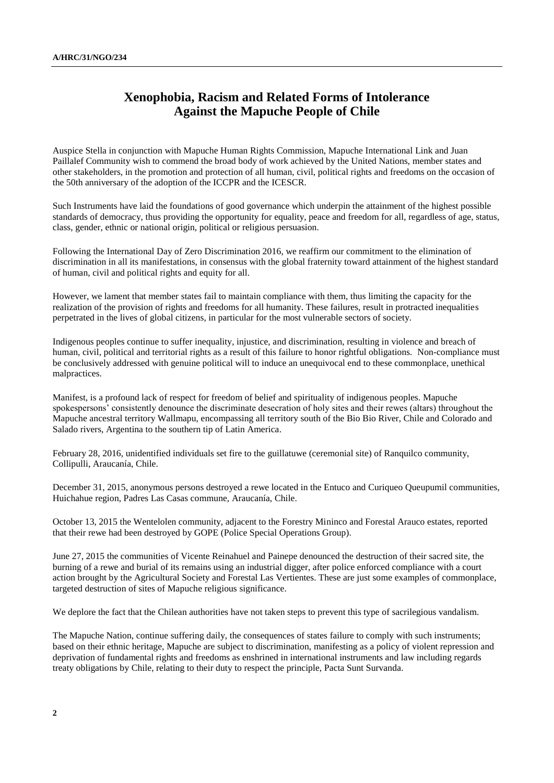## **Xenophobia, Racism and Related Forms of Intolerance Against the Mapuche People of Chile**

Auspice Stella in conjunction with Mapuche Human Rights Commission, Mapuche International Link and Juan Paillalef Community wish to commend the broad body of work achieved by the United Nations, member states and other stakeholders, in the promotion and protection of all human, civil, political rights and freedoms on the occasion of the 50th anniversary of the adoption of the ICCPR and the ICESCR.

Such Instruments have laid the foundations of good governance which underpin the attainment of the highest possible standards of democracy, thus providing the opportunity for equality, peace and freedom for all, regardless of age, status, class, gender, ethnic or national origin, political or religious persuasion.

Following the International Day of Zero Discrimination 2016, we reaffirm our commitment to the elimination of discrimination in all its manifestations, in consensus with the global fraternity toward attainment of the highest standard of human, civil and political rights and equity for all.

However, we lament that member states fail to maintain compliance with them, thus limiting the capacity for the realization of the provision of rights and freedoms for all humanity. These failures, result in protracted inequalities perpetrated in the lives of global citizens, in particular for the most vulnerable sectors of society.

Indigenous peoples continue to suffer inequality, injustice, and discrimination, resulting in violence and breach of human, civil, political and territorial rights as a result of this failure to honor rightful obligations. Non-compliance must be conclusively addressed with genuine political will to induce an unequivocal end to these commonplace, unethical malpractices.

Manifest, is a profound lack of respect for freedom of belief and spirituality of indigenous peoples. Mapuche spokespersons' consistently denounce the discriminate desecration of holy sites and their rewes (altars) throughout the Mapuche ancestral territory Wallmapu, encompassing all territory south of the Bio Bio River, Chile and Colorado and Salado rivers, Argentina to the southern tip of Latin America.

February 28, 2016, unidentified individuals set fire to the guillatuwe (ceremonial site) of Ranquilco community, Collipulli, Araucanía, Chile.

December 31, 2015, anonymous persons destroyed a rewe located in the Entuco and Curiqueo Queupumil communities, Huichahue region, Padres Las Casas commune, Araucanía, Chile.

October 13, 2015 the Wentelolen community, adjacent to the Forestry Mininco and Forestal Arauco estates, reported that their rewe had been destroyed by GOPE (Police Special Operations Group).

June 27, 2015 the communities of Vicente Reinahuel and Painepe denounced the destruction of their sacred site, the burning of a rewe and burial of its remains using an industrial digger, after police enforced compliance with a court action brought by the Agricultural Society and Forestal Las Vertientes. These are just some examples of commonplace, targeted destruction of sites of Mapuche religious significance.

We deplore the fact that the Chilean authorities have not taken steps to prevent this type of sacrilegious vandalism.

The Mapuche Nation, continue suffering daily, the consequences of states failure to comply with such instruments; based on their ethnic heritage, Mapuche are subject to discrimination, manifesting as a policy of violent repression and deprivation of fundamental rights and freedoms as enshrined in international instruments and law including regards treaty obligations by Chile, relating to their duty to respect the principle, Pacta Sunt Survanda.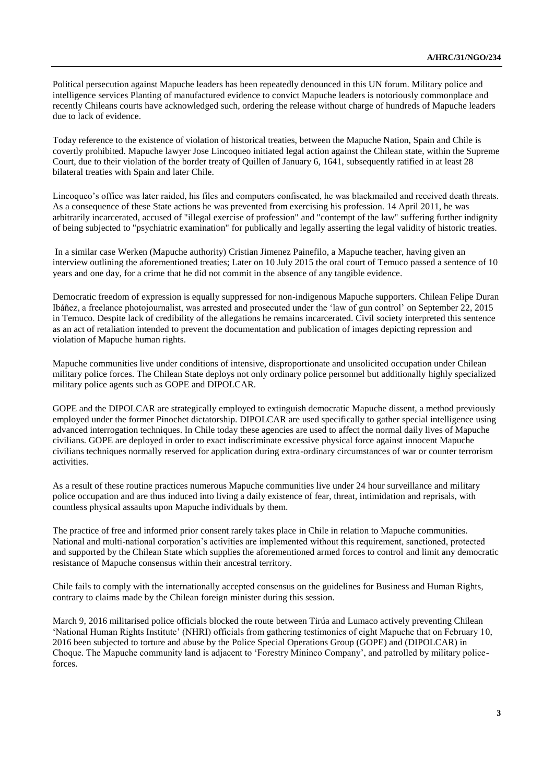Political persecution against Mapuche leaders has been repeatedly denounced in this UN forum. Military police and intelligence services Planting of manufactured evidence to convict Mapuche leaders is notoriously commonplace and recently Chileans courts have acknowledged such, ordering the release without charge of hundreds of Mapuche leaders due to lack of evidence.

Today reference to the existence of violation of historical treaties, between the Mapuche Nation, Spain and Chile is covertly prohibited. Mapuche lawyer Jose Lincoqueo initiated legal action against the Chilean state, within the Supreme Court, due to their violation of the border treaty of Quillen of January 6, 1641, subsequently ratified in at least 28 bilateral treaties with Spain and later Chile.

Lincoqueo's office was later raided, his files and computers confiscated, he was blackmailed and received death threats. As a consequence of these State actions he was prevented from exercising his profession. 14 April 2011, he was arbitrarily incarcerated, accused of "illegal exercise of profession" and "contempt of the law" suffering further indignity of being subjected to "psychiatric examination" for publically and legally asserting the legal validity of historic treaties.

In a similar case Werken (Mapuche authority) Cristian Jimenez Painefilo, a Mapuche teacher, having given an interview outlining the aforementioned treaties; Later on 10 July 2015 the oral court of Temuco passed a sentence of 10 years and one day, for a crime that he did not commit in the absence of any tangible evidence.

Democratic freedom of expression is equally suppressed for non-indigenous Mapuche supporters. Chilean Felipe Duran Ibáñez, a freelance photojournalist, was arrested and prosecuted under the 'law of gun control' on September 22, 2015 in Temuco. Despite lack of credibility of the allegations he remains incarcerated. Civil society interpreted this sentence as an act of retaliation intended to prevent the documentation and publication of images depicting repression and violation of Mapuche human rights.

Mapuche communities live under conditions of intensive, disproportionate and unsolicited occupation under Chilean military police forces. The Chilean State deploys not only ordinary police personnel but additionally highly specialized military police agents such as GOPE and DIPOLCAR.

GOPE and the DIPOLCAR are strategically employed to extinguish democratic Mapuche dissent, a method previously employed under the former Pinochet dictatorship. DIPOLCAR are used specifically to gather special intelligence using advanced interrogation techniques. In Chile today these agencies are used to affect the normal daily lives of Mapuche civilians. GOPE are deployed in order to exact indiscriminate excessive physical force against innocent Mapuche civilians techniques normally reserved for application during extra-ordinary circumstances of war or counter terrorism activities.

As a result of these routine practices numerous Mapuche communities live under 24 hour surveillance and military police occupation and are thus induced into living a daily existence of fear, threat, intimidation and reprisals, with countless physical assaults upon Mapuche individuals by them.

The practice of free and informed prior consent rarely takes place in Chile in relation to Mapuche communities. National and multi-national corporation's activities are implemented without this requirement, sanctioned, protected and supported by the Chilean State which supplies the aforementioned armed forces to control and limit any democratic resistance of Mapuche consensus within their ancestral territory.

Chile fails to comply with the internationally accepted consensus on the guidelines for Business and Human Rights, contrary to claims made by the Chilean foreign minister during this session.

March 9, 2016 militarised police officials blocked the route between Tirúa and Lumaco actively preventing Chilean 'National Human Rights Institute' (NHRI) officials from gathering testimonies of eight Mapuche that on February 10, 2016 been subjected to torture and abuse by the Police Special Operations Group (GOPE) and (DIPOLCAR) in Choque. The Mapuche community land is adjacent to 'Forestry Mininco Company', and patrolled by military policeforces.